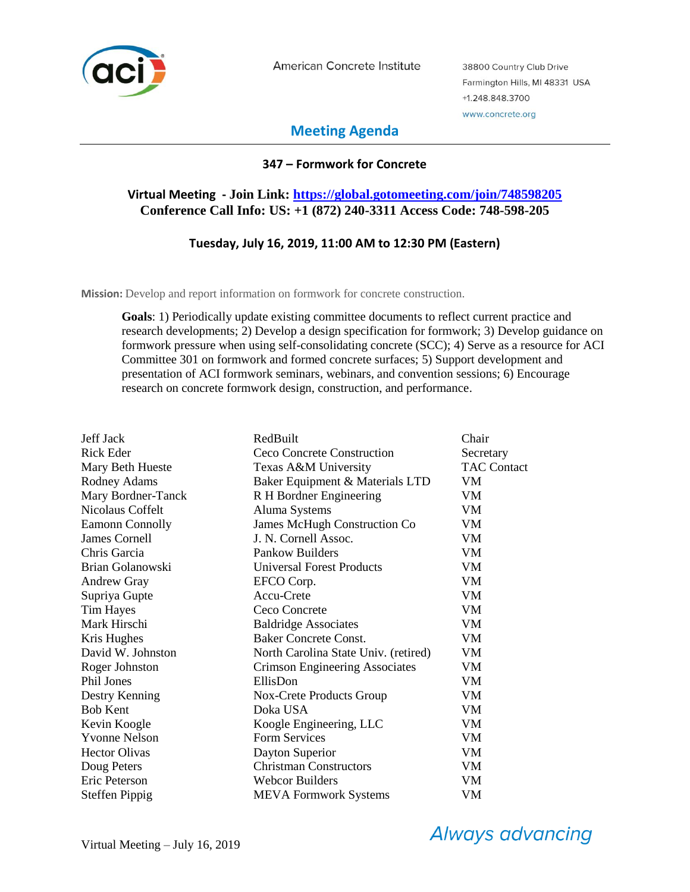

American Concrete Institute

38800 Country Club Drive Farmington Hills, MI 48331 USA +1.248.848.3700 www.concrete.org

# **Meeting Agenda**

# **347 – Formwork for Concrete**

# **Virtual Meeting - Join Link: [https://global.gotomeeting.com/join/748598205](https://nam02.safelinks.protection.outlook.com/?url=https%3A%2F%2Fglobal.gotomeeting.com%2Fjoin%2F748598205&data=02%7C01%7Cjjack%40redbuilt.com%7Cc77b84d61d774500a68008d6d30bb2c6%7C25a6f7bb3913488aa1d6724ab72c6693%7C0%7C0%7C636928444528554187&sdata=CVTnyd%2BBYf5xyPhxRSCEOP6eOuzXyHTTixYVPlsdc3s%3D&reserved=0) Conference Call Info: US: +1 (872) 240-3311 Access Code: 748-598-205**

## **Tuesday, July 16, 2019, 11:00 AM to 12:30 PM (Eastern)**

**Mission:** Develop and report information on formwork for concrete construction.

**Goals**: 1) Periodically update existing committee documents to reflect current practice and research developments; 2) Develop a design specification for formwork; 3) Develop guidance on formwork pressure when using self-consolidating concrete (SCC); 4) Serve as a resource for ACI Committee 301 on formwork and formed concrete surfaces; 5) Support development and presentation of ACI formwork seminars, webinars, and convention sessions; 6) Encourage research on concrete formwork design, construction, and performance.

| Jeff Jack              | RedBuilt                             | Chair              |
|------------------------|--------------------------------------|--------------------|
| Rick Eder              | Ceco Concrete Construction           | Secretary          |
| Mary Beth Hueste       | Texas A&M University                 | <b>TAC Contact</b> |
| Rodney Adams           | Baker Equipment & Materials LTD      | VM                 |
| Mary Bordner-Tanck     | R H Bordner Engineering              | VM                 |
| Nicolaus Coffelt       | Aluma Systems                        | VM                 |
| <b>Eamonn Connolly</b> | <b>James McHugh Construction Co</b>  | VM                 |
| <b>James Cornell</b>   | J. N. Cornell Assoc.                 | VM                 |
| Chris Garcia           | <b>Pankow Builders</b>               | VM                 |
| Brian Golanowski       | <b>Universal Forest Products</b>     | VM                 |
| <b>Andrew Gray</b>     | EFCO Corp.                           | VM                 |
| Supriya Gupte          | Accu-Crete                           | VM                 |
| <b>Tim Hayes</b>       | Ceco Concrete                        | VM                 |
| Mark Hirschi           | <b>Baldridge Associates</b>          | <b>VM</b>          |
| Kris Hughes            | <b>Baker Concrete Const.</b>         | VM                 |
| David W. Johnston      | North Carolina State Univ. (retired) | VM                 |
| Roger Johnston         | Crimson Engineering Associates       | VM                 |
| Phil Jones             | EllisDon                             | VM                 |
| Destry Kenning         | Nox-Crete Products Group             | VM                 |
| <b>Bob Kent</b>        | Doka USA                             | VM                 |
| Kevin Koogle           | Koogle Engineering, LLC              | VM                 |
| <b>Yvonne Nelson</b>   | Form Services                        | VM                 |
| <b>Hector Olivas</b>   | Dayton Superior                      | VM                 |
| Doug Peters            | <b>Christman Constructors</b>        | VM                 |
| Eric Peterson          | <b>Webcor Builders</b>               | VM                 |
| <b>Steffen Pippig</b>  | <b>MEVA</b> Formwork Systems         | VM                 |